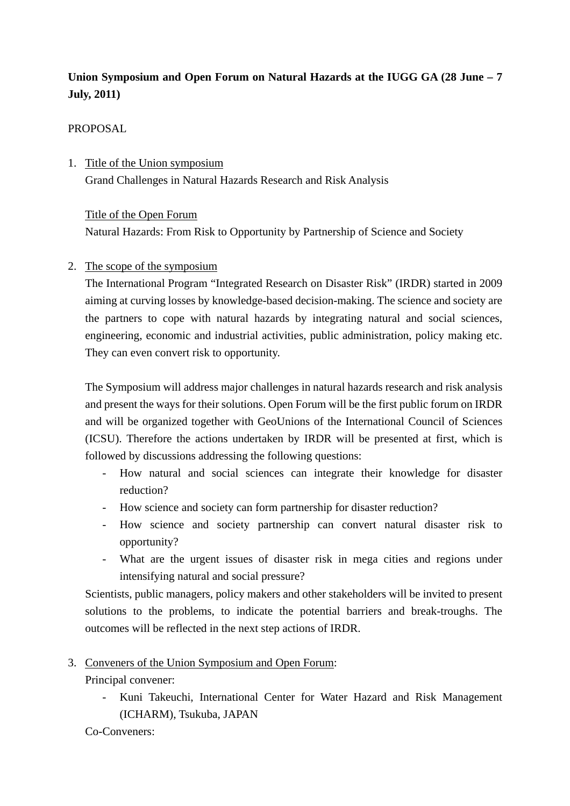## **Union Symposium and Open Forum on Natural Hazards at the IUGG GA (28 June – 7 July, 2011)**

## PROPOSAL

1. Title of the Union symposium Grand Challenges in Natural Hazards Research and Risk Analysis

## Title of the Open Forum

Natural Hazards: From Risk to Opportunity by Partnership of Science and Society

## 2. The scope of the symposium

The International Program "Integrated Research on Disaster Risk" (IRDR) started in 2009 aiming at curving losses by knowledge-based decision-making. The science and society are the partners to cope with natural hazards by integrating natural and social sciences, engineering, economic and industrial activities, public administration, policy making etc. They can even convert risk to opportunity.

The Symposium will address major challenges in natural hazards research and risk analysis and present the ways for their solutions. Open Forum will be the first public forum on IRDR and will be organized together with GeoUnions of the International Council of Sciences (ICSU). Therefore the actions undertaken by IRDR will be presented at first, which is followed by discussions addressing the following questions:

- How natural and social sciences can integrate their knowledge for disaster reduction?
- How science and society can form partnership for disaster reduction?
- How science and society partnership can convert natural disaster risk to opportunity?
- What are the urgent issues of disaster risk in mega cities and regions under intensifying natural and social pressure?

Scientists, public managers, policy makers and other stakeholders will be invited to present solutions to the problems, to indicate the potential barriers and break-troughs. The outcomes will be reflected in the next step actions of IRDR.

3. Conveners of the Union Symposium and Open Forum:

Principal convener:

- Kuni Takeuchi, International Center for Water Hazard and Risk Management (ICHARM), Tsukuba, JAPAN
- Co-Conveners: